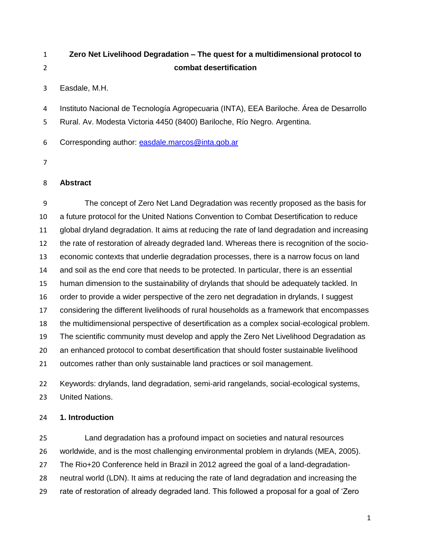# **Zero Net Livelihood Degradation – The quest for a multidimensional protocol to combat desertification**

Easdale, M.H.

Instituto Nacional de Tecnología Agropecuaria (INTA), EEA Bariloche. Área de Desarrollo

Rural. Av. Modesta Victoria 4450 (8400) Bariloche, Río Negro. Argentina.

Corresponding author: [easdale.marcos@inta.gob.ar](mailto:easdale.marcos@inta.gob.ar)

## **Abstract**

 The concept of Zero Net Land Degradation was recently proposed as the basis for a future protocol for the United Nations Convention to Combat Desertification to reduce global dryland degradation. It aims at reducing the rate of land degradation and increasing the rate of restoration of already degraded land. Whereas there is recognition of the socio- economic contexts that underlie degradation processes, there is a narrow focus on land and soil as the end core that needs to be protected. In particular, there is an essential human dimension to the sustainability of drylands that should be adequately tackled. In order to provide a wider perspective of the zero net degradation in drylands, I suggest considering the different livelihoods of rural households as a framework that encompasses the multidimensional perspective of desertification as a complex social-ecological problem. The scientific community must develop and apply the Zero Net Livelihood Degradation as an enhanced protocol to combat desertification that should foster sustainable livelihood outcomes rather than only sustainable land practices or soil management.

 Keywords: drylands, land degradation, semi-arid rangelands, social-ecological systems, United Nations.

## **1. Introduction**

 Land degradation has a profound impact on societies and natural resources worldwide, and is the most challenging environmental problem in drylands (MEA, 2005). The Rio+20 Conference held in Brazil in 2012 agreed the goal of a land-degradation- neutral world (LDN). It aims at reducing the rate of land degradation and increasing the rate of restoration of already degraded land. This followed a proposal for a goal of 'Zero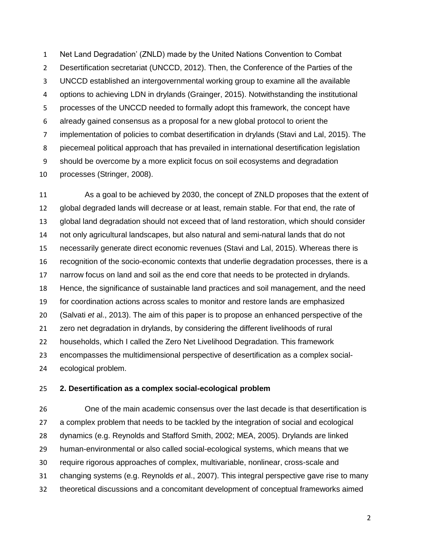Net Land Degradation' (ZNLD) made by the United Nations Convention to Combat 2 Desertification secretariat (UNCCD, 2012). Then, the Conference of the Parties of the UNCCD established an intergovernmental working group to examine all the available options to achieving LDN in drylands (Grainger, 2015). Notwithstanding the institutional processes of the UNCCD needed to formally adopt this framework, the concept have already gained consensus as a proposal for a new global protocol to orient the implementation of policies to combat desertification in drylands (Stavi and Lal, 2015). The piecemeal political approach that has prevailed in international desertification legislation should be overcome by a more explicit focus on soil ecosystems and degradation processes (Stringer, 2008).

 As a goal to be achieved by 2030, the concept of ZNLD proposes that the extent of global degraded lands will decrease or at least, remain stable. For that end, the rate of global land degradation should not exceed that of land restoration, which should consider not only agricultural landscapes, but also natural and semi-natural lands that do not necessarily generate direct economic revenues (Stavi and Lal, 2015). Whereas there is recognition of the socio-economic contexts that underlie degradation processes, there is a narrow focus on land and soil as the end core that needs to be protected in drylands. Hence, the significance of sustainable land practices and soil management, and the need for coordination actions across scales to monitor and restore lands are emphasized (Salvati *et* al., 2013). The aim of this paper is to propose an enhanced perspective of the zero net degradation in drylands, by considering the different livelihoods of rural households, which I called the Zero Net Livelihood Degradation. This framework encompasses the multidimensional perspective of desertification as a complex social-ecological problem.

#### **2. Desertification as a complex social-ecological problem**

 One of the main academic consensus over the last decade is that desertification is a complex problem that needs to be tackled by the integration of social and ecological dynamics (e.g. Reynolds and Stafford Smith, 2002; MEA, 2005). Drylands are linked human-environmental or also called social-ecological systems, which means that we require rigorous approaches of complex, multivariable, nonlinear, cross-scale and changing systems (e.g. Reynolds *et* al., 2007). This integral perspective gave rise to many theoretical discussions and a concomitant development of conceptual frameworks aimed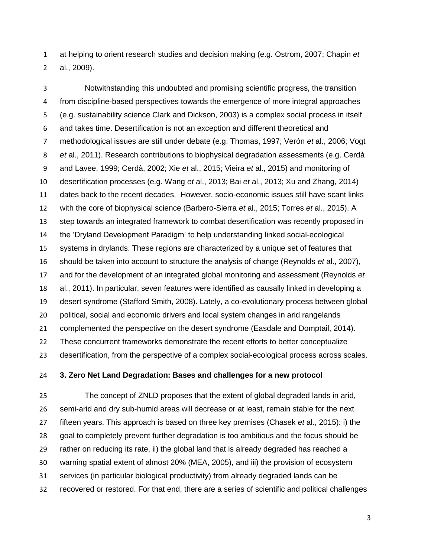at helping to orient research studies and decision making (e.g. Ostrom, 2007; Chapin *et* al., 2009).

 Notwithstanding this undoubted and promising scientific progress, the transition from discipline-based perspectives towards the emergence of more integral approaches (e.g. sustainability science Clark and Dickson, 2003) is a complex social process in itself and takes time. Desertification is not an exception and different theoretical and methodological issues are still under debate (e.g. Thomas, 1997; Verón *et* al., 2006; Vogt *et* al., 2011). Research contributions to biophysical degradation assessments (e.g. Cerdà and Lavee, 1999; Cerdà, 2002; Xie *et* al., 2015; Vieira *et* al., 2015) and monitoring of desertification processes (e.g. Wang *et* al., 2013; Bai *et* al., 2013; Xu and Zhang, 2014) dates back to the recent decades. However, socio-economic issues still have scant links with the core of biophysical science (Barbero-Sierra *et* al., 2015; Torres *et* al., 2015). A step towards an integrated framework to combat desertification was recently proposed in the 'Dryland Development Paradigm' to help understanding linked social-ecological systems in drylands. These regions are characterized by a unique set of features that should be taken into account to structure the analysis of change (Reynolds *et* al., 2007), and for the development of an integrated global monitoring and assessment (Reynolds *et* al., 2011). In particular, seven features were identified as causally linked in developing a desert syndrome (Stafford Smith, 2008). Lately, a co-evolutionary process between global political, social and economic drivers and local system changes in arid rangelands complemented the perspective on the desert syndrome (Easdale and Domptail, 2014). These concurrent frameworks demonstrate the recent efforts to better conceptualize desertification, from the perspective of a complex social-ecological process across scales.

### **3. Zero Net Land Degradation: Bases and challenges for a new protocol**

 The concept of ZNLD proposes that the extent of global degraded lands in arid, semi-arid and dry sub-humid areas will decrease or at least, remain stable for the next fifteen years. This approach is based on three key premises (Chasek *et* al., 2015): i) the goal to completely prevent further degradation is too ambitious and the focus should be rather on reducing its rate, ii) the global land that is already degraded has reached a warning spatial extent of almost 20% (MEA, 2005), and iii) the provision of ecosystem services (in particular biological productivity) from already degraded lands can be recovered or restored. For that end, there are a series of scientific and political challenges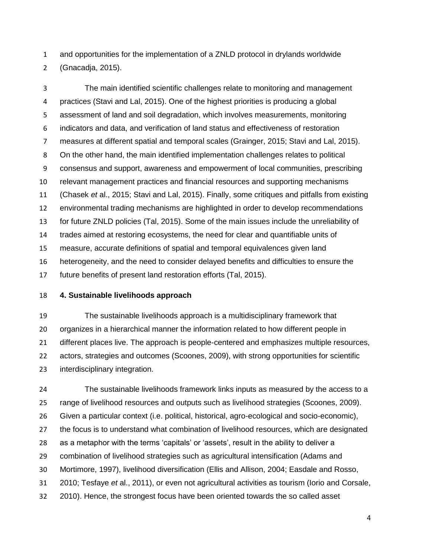and opportunities for the implementation of a ZNLD protocol in drylands worldwide

(Gnacadja, 2015).

 The main identified scientific challenges relate to monitoring and management practices (Stavi and Lal, 2015). One of the highest priorities is producing a global assessment of land and soil degradation, which involves measurements, monitoring indicators and data, and verification of land status and effectiveness of restoration measures at different spatial and temporal scales (Grainger, 2015; Stavi and Lal, 2015). On the other hand, the main identified implementation challenges relates to political consensus and support, awareness and empowerment of local communities, prescribing relevant management practices and financial resources and supporting mechanisms (Chasek *et* al., 2015; Stavi and Lal, 2015). Finally, some critiques and pitfalls from existing environmental trading mechanisms are highlighted in order to develop recommendations for future ZNLD policies (Tal, 2015). Some of the main issues include the unreliability of trades aimed at restoring ecosystems, the need for clear and quantifiable units of measure, accurate definitions of spatial and temporal equivalences given land heterogeneity, and the need to consider delayed benefits and difficulties to ensure the future benefits of present land restoration efforts (Tal, 2015).

## **4. Sustainable livelihoods approach**

 The sustainable livelihoods approach is a multidisciplinary framework that organizes in a hierarchical manner the information related to how different people in different places live. The approach is people-centered and emphasizes multiple resources, actors, strategies and outcomes (Scoones, 2009), with strong opportunities for scientific interdisciplinary integration.

 The sustainable livelihoods framework links inputs as measured by the access to a range of livelihood resources and outputs such as livelihood strategies (Scoones, 2009). Given a particular context (i.e. political, historical, agro-ecological and socio-economic), 27 the focus is to understand what combination of livelihood resources, which are designated as a metaphor with the terms 'capitals' or 'assets', result in the ability to deliver a combination of livelihood strategies such as agricultural intensification (Adams and Mortimore, 1997), livelihood diversification (Ellis and Allison, 2004; Easdale and Rosso, 2010; Tesfaye *et* al., 2011), or even not agricultural activities as tourism (Iorio and Corsale, 2010). Hence, the strongest focus have been oriented towards the so called asset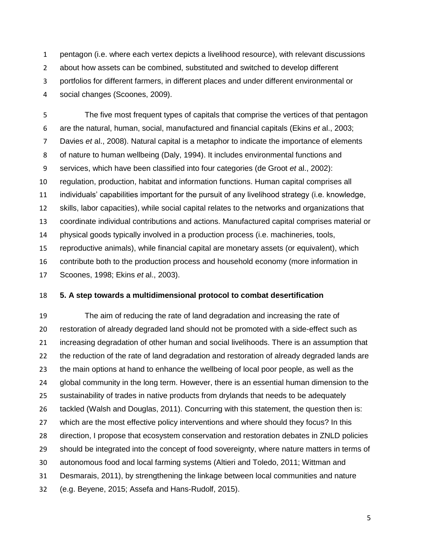pentagon (i.e. where each vertex depicts a livelihood resource), with relevant discussions about how assets can be combined, substituted and switched to develop different portfolios for different farmers, in different places and under different environmental or social changes (Scoones, 2009).

 The five most frequent types of capitals that comprise the vertices of that pentagon are the natural, human, social, manufactured and financial capitals (Ekins *et* al., 2003; Davies *et* al., 2008). Natural capital is a metaphor to indicate the importance of elements of nature to human wellbeing (Daly, 1994). It includes environmental functions and services, which have been classified into four categories (de Groot *et* al., 2002): regulation, production, habitat and information functions. Human capital comprises all individuals' capabilities important for the pursuit of any livelihood strategy (i.e. knowledge, skills, labor capacities), while social capital relates to the networks and organizations that coordinate individual contributions and actions. Manufactured capital comprises material or physical goods typically involved in a production process (i.e. machineries, tools, reproductive animals), while financial capital are monetary assets (or equivalent), which contribute both to the production process and household economy (more information in Scoones, 1998; Ekins *et* al., 2003).

### **5. A step towards a multidimensional protocol to combat desertification**

 The aim of reducing the rate of land degradation and increasing the rate of restoration of already degraded land should not be promoted with a side-effect such as increasing degradation of other human and social livelihoods. There is an assumption that 22 the reduction of the rate of land degradation and restoration of already degraded lands are the main options at hand to enhance the wellbeing of local poor people, as well as the global community in the long term. However, there is an essential human dimension to the sustainability of trades in native products from drylands that needs to be adequately tackled (Walsh and Douglas, 2011). Concurring with this statement, the question then is: which are the most effective policy interventions and where should they focus? In this direction, I propose that ecosystem conservation and restoration debates in ZNLD policies should be integrated into the concept of food sovereignty, where nature matters in terms of autonomous food and local farming systems (Altieri and Toledo, 2011; Wittman and Desmarais, 2011), by strengthening the linkage between local communities and nature (e.g. Beyene, 2015; Assefa and Hans-Rudolf, 2015).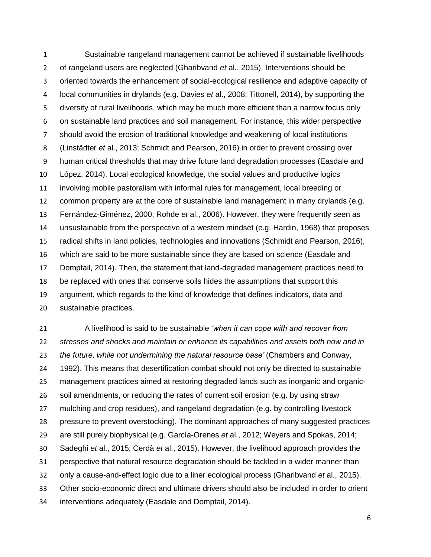Sustainable rangeland management cannot be achieved if sustainable livelihoods of rangeland users are neglected (Gharibvand *et* al., 2015). Interventions should be oriented towards the enhancement of social-ecological resilience and adaptive capacity of local communities in drylands (e.g. Davies *et* al., 2008; Tittonell, 2014), by supporting the diversity of rural livelihoods, which may be much more efficient than a narrow focus only on sustainable land practices and soil management. For instance, this wider perspective should avoid the erosion of traditional knowledge and weakening of local institutions (Linstädter *et* al., 2013; Schmidt and Pearson, 2016) in order to prevent crossing over human critical thresholds that may drive future land degradation processes (Easdale and López, 2014). Local ecological knowledge, the social values and productive logics involving mobile pastoralism with informal rules for management, local breeding or common property are at the core of sustainable land management in many drylands (e.g. Fernández-Giménez, 2000; Rohde *et* al., 2006). However, they were frequently seen as unsustainable from the perspective of a western mindset (e.g. Hardin, 1968) that proposes radical shifts in land policies, technologies and innovations (Schmidt and Pearson, 2016), which are said to be more sustainable since they are based on science (Easdale and Domptail, 2014). Then, the statement that land-degraded management practices need to be replaced with ones that conserve soils hides the assumptions that support this argument, which regards to the kind of knowledge that defines indicators, data and sustainable practices.

 A livelihood is said to be sustainable *'when it can cope with and recover from stresses and shocks and maintain or enhance its capabilities and assets both now and in the future, while not undermining the natural resource base'* (Chambers and Conway, 1992). This means that desertification combat should not only be directed to sustainable management practices aimed at restoring degraded lands such as inorganic and organic- soil amendments, or reducing the rates of current soil erosion (e.g. by using straw mulching and crop residues), and rangeland degradation (e.g. by controlling livestock pressure to prevent overstocking). The dominant approaches of many suggested practices are still purely biophysical (e.g. García-Orenes *et* al., 2012; Weyers and Spokas, 2014; Sadeghi *et* al., 2015; Cerdà *et* al., 2015). However, the livelihood approach provides the perspective that natural resource degradation should be tackled in a wider manner than only a cause-and-effect logic due to a liner ecological process (Gharibvand *et* al., 2015). Other socio-economic direct and ultimate drivers should also be included in order to orient interventions adequately (Easdale and Domptail, 2014).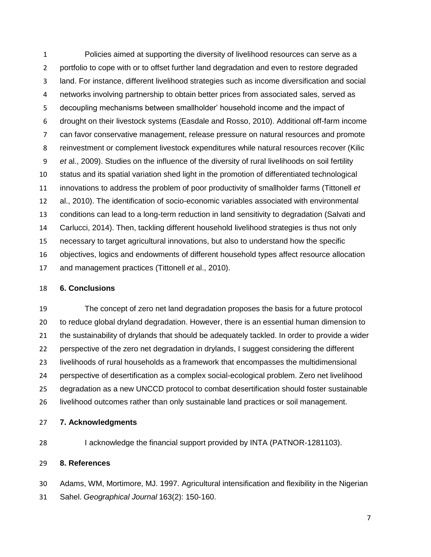Policies aimed at supporting the diversity of livelihood resources can serve as a portfolio to cope with or to offset further land degradation and even to restore degraded land. For instance, different livelihood strategies such as income diversification and social networks involving partnership to obtain better prices from associated sales, served as decoupling mechanisms between smallholder' household income and the impact of drought on their livestock systems (Easdale and Rosso, 2010). Additional off-farm income can favor conservative management, release pressure on natural resources and promote reinvestment or complement livestock expenditures while natural resources recover (Kilic *et* al., 2009). Studies on the influence of the diversity of rural livelihoods on soil fertility status and its spatial variation shed light in the promotion of differentiated technological innovations to address the problem of poor productivity of smallholder farms (Tittonell *et* al., 2010). The identification of socio-economic variables associated with environmental conditions can lead to a long-term reduction in land sensitivity to degradation (Salvati and Carlucci, 2014). Then, tackling different household livelihood strategies is thus not only necessary to target agricultural innovations, but also to understand how the specific objectives, logics and endowments of different household types affect resource allocation and management practices (Tittonell *et* al., 2010).

#### **6. Conclusions**

 The concept of zero net land degradation proposes the basis for a future protocol to reduce global dryland degradation. However, there is an essential human dimension to the sustainability of drylands that should be adequately tackled. In order to provide a wider perspective of the zero net degradation in drylands, I suggest considering the different livelihoods of rural households as a framework that encompasses the multidimensional perspective of desertification as a complex social-ecological problem. Zero net livelihood degradation as a new UNCCD protocol to combat desertification should foster sustainable livelihood outcomes rather than only sustainable land practices or soil management.

- **7. Acknowledgments**
- 

I acknowledge the financial support provided by INTA (PATNOR-1281103).

## **8. References**

 Adams, WM, Mortimore, MJ. 1997. Agricultural intensification and flexibility in the Nigerian Sahel. *Geographical Journal* 163(2): 150-160.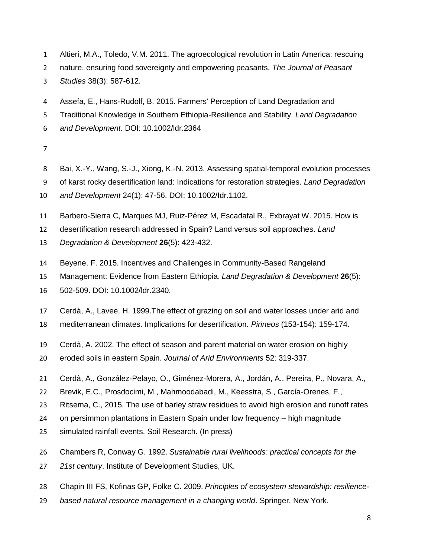- Altieri, M.A., Toledo, V.M. 2011. The agroecological revolution in Latin America: rescuing
- nature, ensuring food sovereignty and empowering peasants. *The Journal of Peasant*
- *Studies* 38(3): 587-612.
- Assefa, E., Hans-Rudolf, B. 2015. Farmers' Perception of Land Degradation and
- Traditional Knowledge in Southern Ethiopia-Resilience and Stability. *Land Degradation*
- *and Development*. DOI: 10.1002/ldr.2364

- Bai, X.-Y., Wang, S.-J., Xiong, K.-N. 2013. Assessing spatial-temporal evolution processes
- of karst rocky desertification land: Indications for restoration strategies. *Land Degradation*
- *and Development* 24(1): 47-56. DOI: 10.1002/Idr.1102.
- Barbero-Sierra C, Marques MJ, Ruiz-Pérez M, Escadafal R., Exbrayat W. 2015. How is
- desertification research addressed in Spain? Land versus soil approaches. *Land*
- *Degradation & Development* **26**(5): 423-432.
- Beyene, F. 2015. Incentives and Challenges in Community-Based Rangeland
- Management: Evidence from Eastern Ethiopia. *Land Degradation & Development* **26**(5):
- 502-509. DOI: 10.1002/ldr.2340.
- Cerdà, A., Lavee, H. 1999.The effect of grazing on soil and water losses under arid and
- mediterranean climates. Implications for desertification. *Pirineos* (153-154): 159-174.
- Cerdà, A. 2002. The effect of season and parent material on water erosion on highly
- eroded soils in eastern Spain. *Journal of Arid Environments* 52: 319-337.
- Cerdà, A., González-Pelayo, O., Giménez-Morera, A., Jordán, A., Pereira, P., Novara, A.,
- Brevik, E.C., Prosdocimi, M., Mahmoodabadi, M., Keesstra, S., García-Orenes, F.,
- Ritsema, C., 2015. The use of barley straw residues to avoid high erosion and runoff rates
- on persimmon plantations in Eastern Spain under low frequency high magnitude
- simulated rainfall events. Soil Research. (In press)
- Chambers R, Conway G. 1992. *Sustainable rural livelihoods: practical concepts for the*
- *21st century*. Institute of Development Studies, UK.
- Chapin III FS, Kofinas GP, Folke C. 2009. *Principles of ecosystem stewardship: resilience-*
- *based natural resource management in a changing world*. Springer, New York.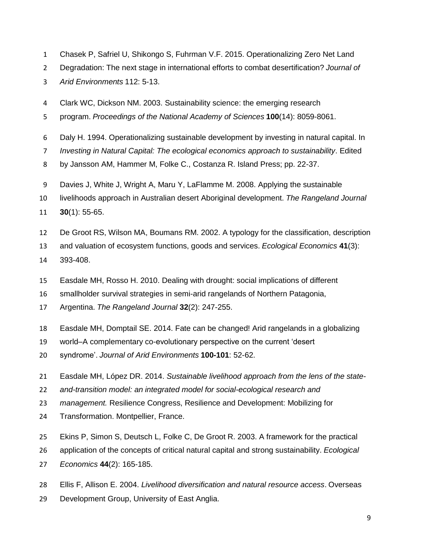- Chasek P, Safriel U, Shikongo S, Fuhrman V.F. 2015. Operationalizing Zero Net Land
- Degradation: The next stage in international efforts to combat desertification? *Journal of*
- *Arid Environments* 112: 5-13.
- Clark WC, Dickson NM. 2003. Sustainability science: the emerging research
- program. *Proceedings of the National Academy of Sciences* **100**(14): 8059-8061.
- Daly H. 1994. Operationalizing sustainable development by investing in natural capital. In
- *Investing in Natural Capital: The ecological economics approach to sustainability*. Edited
- by Jansson AM, Hammer M, Folke C., Costanza R. Island Press; pp. 22-37.
- Davies J, White J, Wright A, Maru Y, LaFlamme M. 2008. Applying the sustainable
- livelihoods approach in Australian desert Aboriginal development. *The Rangeland Journal*
- **30**(1): 55-65.
- De Groot RS, Wilson MA, Boumans RM. 2002. A typology for the classification, description
- and valuation of ecosystem functions, goods and services. *Ecological Economics* **41**(3):
- 393-408.
- Easdale MH, Rosso H. 2010. Dealing with drought: social implications of different
- smallholder survival strategies in semi-arid rangelands of Northern Patagonia,
- Argentina. *The Rangeland Journal* **32**(2): 247-255.
- Easdale MH, Domptail SE. 2014. Fate can be changed! Arid rangelands in a globalizing
- world–A complementary co-evolutionary perspective on the current 'desert
- syndrome'. *Journal of Arid Environments* **100-101**: 52-62.
- Easdale MH, López DR. 2014. *Sustainable livelihood approach from the lens of the state-*
- *and-transition model: an integrated model for social-ecological research and*
- *management.* Resilience Congress, Resilience and Development: Mobilizing for
- Transformation. Montpellier, France.
- Ekins P, Simon S, Deutsch L, Folke C, De Groot R. 2003. A framework for the practical
- application of the concepts of critical natural capital and strong sustainability. *Ecological*
- *Economics* **44**(2): 165-185.
- Ellis F, Allison E. 2004. *Livelihood diversification and natural resource access*. Overseas
- Development Group, University of East Anglia.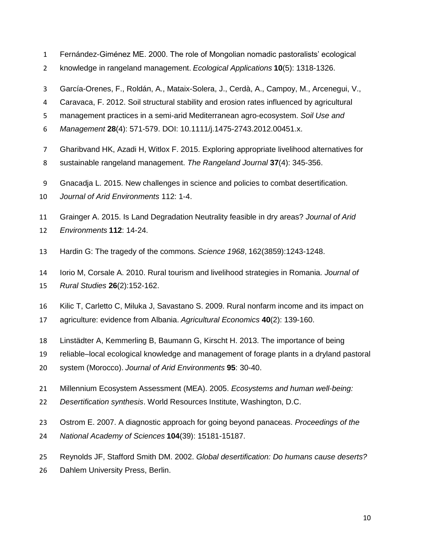- Fernández-Giménez ME. 2000. The role of Mongolian nomadic pastoralists' ecological
- knowledge in rangeland management. *Ecological Applications* **10**(5): 1318-1326.
- García-Orenes, F., Roldán, A., Mataix-Solera, J., Cerdà, A., Campoy, M., Arcenegui, V.,
- Caravaca, F. 2012. Soil structural stability and erosion rates influenced by agricultural
- management practices in a semi-arid Mediterranean agro-ecosystem. *Soil Use and*
- *Management* **28**(4): 571-579. DOI: 10.1111/j.1475-2743.2012.00451.x.
- Gharibvand HK, Azadi H, Witlox F. 2015. Exploring appropriate livelihood alternatives for
- sustainable rangeland management. *The Rangeland Journal* **37**(4): 345-356.
- Gnacadja L. 2015. New challenges in science and policies to combat desertification.
- *Journal of Arid Environments* 112: 1-4.
- Grainger A. 2015. Is Land Degradation Neutrality feasible in dry areas? *Journal of Arid*
- *Environments* **112**: 14-24.
- Hardin G: The tragedy of the commons. *Science 1968*, 162(3859):1243-1248.
- Iorio M, Corsale A. 2010. Rural tourism and livelihood strategies in Romania. *Journal of*
- *Rural Studies* **26**(2):152-162.
- Kilic T, Carletto C, Miluka J, Savastano S. 2009. Rural nonfarm income and its impact on
- agriculture: evidence from Albania. *Agricultural Economics* **40**(2): 139-160.
- Linstädter A, Kemmerling B, Baumann G, Kirscht H. 2013. The importance of being
- reliable–local ecological knowledge and management of forage plants in a dryland pastoral
- system (Morocco). *Journal of Arid Environments* **95**: 30-40.
- Millennium Ecosystem Assessment (MEA). 2005. *Ecosystems and human well-being:*
- *Desertification synthesis*. World Resources Institute, Washington, D.C.
- Ostrom E. 2007. A diagnostic approach for going beyond panaceas. *Proceedings of the*
- *National Academy of Sciences* **104**(39): 15181-15187.
- Reynolds JF, Stafford Smith DM. 2002. *Global desertification: Do humans cause deserts?*
- Dahlem University Press, Berlin.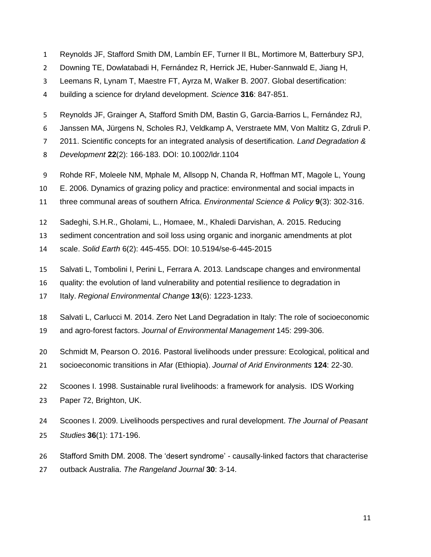- Reynolds JF, Stafford Smith DM, Lambín EF, Turner II BL, Mortimore M, Batterbury SPJ,
- Downing TE, Dowlatabadi H, Fernández R, Herrick JE, Huber-Sannwald E, Jiang H,
- Leemans R, Lynam T, Maestre FT, Ayrza M, Walker B. 2007. Global desertification:
- building a science for dryland development. *Science* **316**: 847-851.
- Reynolds JF, Grainger A, Stafford Smith DM, Bastin G, Garcia-Barrios L, Fernández RJ,
- Janssen MA, Jürgens N, Scholes RJ, Veldkamp A, Verstraete MM, Von Maltitz G, Zdruli P.
- 2011. Scientific concepts for an integrated analysis of desertification. *Land Degradation &*
- *Development* **22**(2): 166-183. DOI: 10.1002/ldr.1104
- Rohde RF, Moleele NM, Mphale M, Allsopp N, Chanda R, Hoffman MT, Magole L, Young
- E. 2006. Dynamics of grazing policy and practice: environmental and social impacts in
- three communal areas of southern Africa. *Environmental Science & Policy* **9**(3): 302-316.
- Sadeghi, S.H.R., Gholami, L., Homaee, M., Khaledi Darvishan, A. 2015. Reducing
- sediment concentration and soil loss using organic and inorganic amendments at plot
- scale. *Solid Earth* 6(2): 445-455. DOI: 10.5194/se-6-445-2015
- Salvati L, Tombolini I, Perini L, Ferrara A. 2013. Landscape changes and environmental
- quality: the evolution of land vulnerability and potential resilience to degradation in
- Italy. *Regional Environmental Change* **13**(6): 1223-1233.
- Salvati L, Carlucci M. 2014. Zero Net Land Degradation in Italy: The role of socioeconomic
- and agro-forest factors. *Journal of Environmental Management* 145: 299-306.
- Schmidt M, Pearson O. 2016. Pastoral livelihoods under pressure: Ecological, political and
- socioeconomic transitions in Afar (Ethiopia). *Journal of Arid Environments* **124**: 22-30.
- Scoones I. 1998. Sustainable rural livelihoods: a framework for analysis. IDS Working Paper 72, Brighton, UK.
- Scoones I. 2009. Livelihoods perspectives and rural development. *The Journal of Peasant Studies* **36**(1): 171-196.
- Stafford Smith DM. 2008. The 'desert syndrome' causally-linked factors that characterise
- outback Australia. *The Rangeland Journal* **30**: 3-14.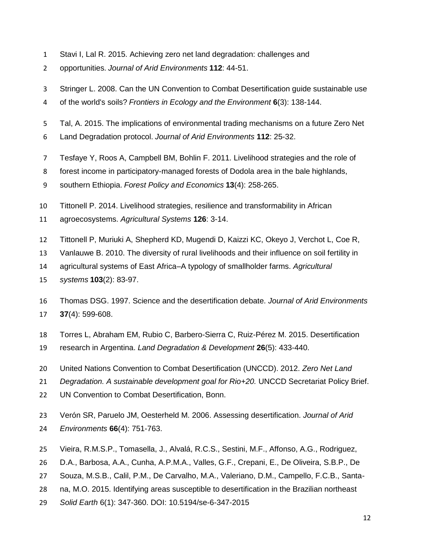- Stavi I, Lal R. 2015. Achieving zero net land degradation: challenges and
- opportunities. *Journal of Arid Environments* **112**: 44-51.
- Stringer L. 2008. Can the UN Convention to Combat Desertification guide sustainable use
- of the world's soils? *Frontiers in Ecology and the Environment* **6**(3): 138-144.
- Tal, A. 2015. The implications of environmental trading mechanisms on a future Zero Net
- Land Degradation protocol. *Journal of Arid Environments* **112**: 25-32.
- Tesfaye Y, Roos A, Campbell BM, Bohlin F. 2011. Livelihood strategies and the role of
- forest income in participatory-managed forests of Dodola area in the bale highlands,
- southern Ethiopia. *Forest Policy and Economics* **13**(4): 258-265.
- Tittonell P. 2014. Livelihood strategies, resilience and transformability in African
- agroecosystems. *Agricultural Systems* **126**: 3-14.
- Tittonell P, Muriuki A, Shepherd KD, Mugendi D, Kaizzi KC, Okeyo J, Verchot L, Coe R,
- Vanlauwe B. 2010. The diversity of rural livelihoods and their influence on soil fertility in
- agricultural systems of East Africa–A typology of smallholder farms. *Agricultural*
- *systems* **103**(2): 83-97.
- Thomas DSG. 1997. Science and the desertification debate. *Journal of Arid Environments* **37**(4): 599-608.
- Torres L, Abraham EM, Rubio C, Barbero-Sierra C, Ruiz-Pérez M. 2015. Desertification
- research in Argentina. *Land Degradation & Development* **26**(5): 433-440.
- United Nations Convention to Combat Desertification (UNCCD). 2012. *Zero Net Land*
- *Degradation. A sustainable development goal for Rio+20.* UNCCD Secretariat Policy Brief.
- 22 UN Convention to Combat Desertification, Bonn.
- Verón SR, Paruelo JM, Oesterheld M. 2006. Assessing desertification. *Journal of Arid Environments* **66**(4): 751-763.
- Vieira, R.M.S.P., Tomasella, J., Alvalá, R.C.S., Sestini, M.F., Affonso, A.G., Rodriguez,
- D.A., Barbosa, A.A., Cunha, A.P.M.A., Valles, G.F., Crepani, E., De Oliveira, S.B.P., De
- Souza, M.S.B., Calil, P.M., De Carvalho, M.A., Valeriano, D.M., Campello, F.C.B., Santa-
- na, M.O. 2015. Identifying areas susceptible to desertification in the Brazilian northeast
- *Solid Earth* 6(1): 347-360. DOI: 10.5194/se-6-347-2015